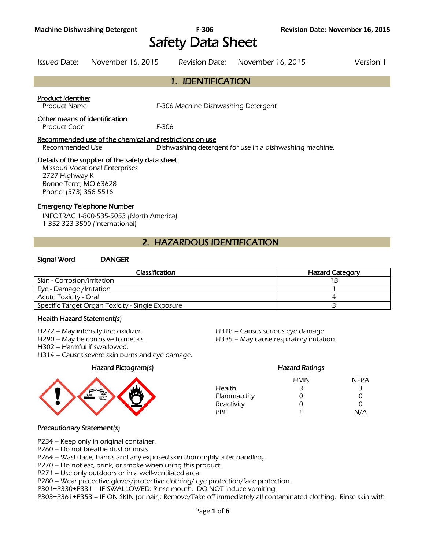# Safety Data Sheet

Issued Date: November 16, 2015 Revision Date: November 16, 2015 Version 1

# 1. IDENTIFICATION

#### Product Identifier

Product Name **F-306 Machine Dishwashing Detergent** 

#### Other means of identification

Product Code F-306

#### Recommended use of the chemical and restrictions on use

Recommended Use Dishwashing detergent for use in a dishwashing machine.

#### Details of the supplier of the safety data sheet

Missouri Vocational Enterprises 2727 Highway K Bonne Terre, MO 63628 Phone: (573) 358-5516

#### Emergency Telephone Number

INFOTRAC 1-800-535-5053 (North America) 1-352-323-3500 (International)

# 2. HAZARDOUS IDENTIFICATION

#### Signal Word DANGER

| <b>Classification</b>                            | <b>Hazard Category</b> |  |  |
|--------------------------------------------------|------------------------|--|--|
| Skin - Corrosion/Irritation                      | 1 B                    |  |  |
| Eye - Damage /Irritation                         |                        |  |  |
| <b>Acute Toxicity - Oral</b>                     |                        |  |  |
| Specific Target Organ Toxicity - Single Exposure |                        |  |  |
|                                                  |                        |  |  |

# Health Hazard Statement(s)

- 
- 
- H302 Harmful if swallowed.
- H314 Causes severe skin burns and eye damage.



H272 – May intensify fire; oxidizer. H518 – Causes serious eye damage.

H290 – May be corrosive to metals. H335 – May cause respiratory irritation.

# Hazard Pictogram(s) Hazard Ratings HMIS NFPA Health 3 3 3 Flammability 0 0 0 0 Reactivity 0 0 0 PPE F N/A

# Precautionary Statement(s)

- P234 Keep only in original container.
- P260 Do not breathe dust or mists.

P264 – Wash face, hands and any exposed skin thoroughly after handling.

P270 – Do not eat, drink, or smoke when using this product.

P271 – Use only outdoors or in a well-ventilated area.

P280 – Wear protective gloves/protective clothing/ eye protection/face protection.

P301+P330+P331 – IF SWALLOWED: Rinse mouth. DO NOT induce vomiting.

P303+P361+P353 – IF ON SKIN (or hair): Remove/Take off immediately all contaminated clothing. Rinse skin with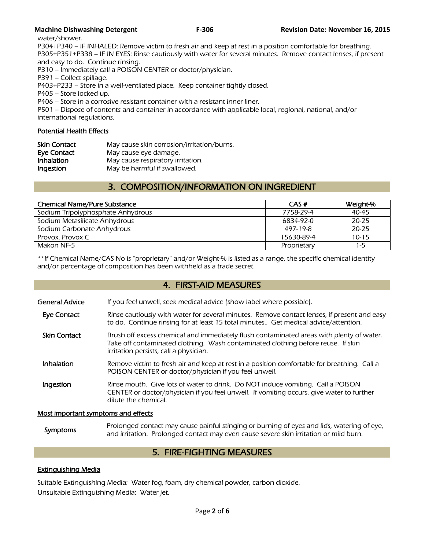water/shower.

P304+P340 – IF INHALED: Remove victim to fresh air and keep at rest in a position comfortable for breathing. P305+P351+P338 – IF IN EYES: Rinse cautiously with water for several minutes. Remove contact lenses, if present and easy to do. Continue rinsing.

P310 – Immediately call a POISON CENTER or doctor/physician.

P391 – Collect spillage.

P403+P233 – Store in a well-ventilated place. Keep container tightly closed.

P405 – Store locked up.

P406 – Store in a corrosive resistant container with a resistant inner liner.

P501 – Dispose of contents and container in accordance with applicable local, regional, national, and/or international regulations.

# Potential Health Effects

| <b>Skin Contact</b> | May cause skin corrosion/irritation/burns. |
|---------------------|--------------------------------------------|
| Eye Contact         | May cause eye damage.                      |
| <b>Inhalation</b>   | May cause respiratory irritation.          |
| Ingestion           | May be harmful if swallowed.               |

# 3. COMPOSITION/INFORMATION ON INGREDIENT

| CAS#        | Weight-%  |
|-------------|-----------|
| 7758-29-4   | $40 - 45$ |
| 6834-92-0   | $20 - 25$ |
| 497-19-8    | $20 - 25$ |
| 15630-89-4  | $10 - 15$ |
| Proprietary | 1-5       |
|             |           |

\*\*If Chemical Name/CAS No is "proprietary" and/or Weight-% is listed as a range, the specific chemical identity and/or percentage of composition has been withheld as a trade secret.

# 4. FIRST-AID MEASURES

| General Advice | If you feel unwell, seek medical advice (show label where possible). |
|----------------|----------------------------------------------------------------------|
|                |                                                                      |

- Eye Contact Rinse cautiously with water for several minutes. Remove contact lenses, if present and easy to do. Continue rinsing for at least 15 total minutes.. Get medical advice/attention.
- Skin Contact Brush off excess chemical and immediately flush contaminated areas with plenty of water. Take off contaminated clothing. Wash contaminated clothing before reuse. If skin irritation persists, call a physician.
- Inhalation Remove victim to fresh air and keep at rest in a position comfortable for breathing. Call a POISON CENTER or doctor/physician if you feel unwell.
- **Ingestion** Rinse mouth. Give lots of water to drink. Do NOT induce vomiting. Call a POISON CENTER or doctor/physician if you feel unwell. If vomiting occurs, give water to further dilute the chemical.

# Most important symptoms and effects

Symptoms Prolonged contact may cause painful stinging or burning of eyes and lids, watering of eye,<br>Symptoms and initation. Prolonged contact may such sause severe skip initation or mild burn and irritation. Prolonged contact may even cause severe skin irritation or mild burn.

# 5. FIRE-FIGHTING MEASURES

# Extinguishing Media

Suitable Extinguishing Media: Water fog, foam, dry chemical powder, carbon dioxide. Unsuitable Extinguishing Media: Water jet.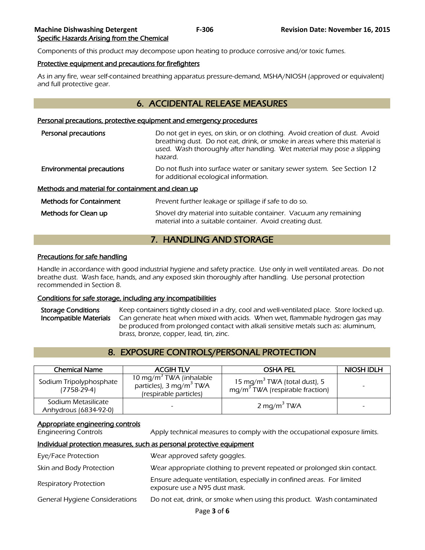Components of this product may decompose upon heating to produce corrosive and/or toxic fumes.

#### Protective equipment and precautions for firefighters

As in any fire, wear self-contained breathing apparatus pressure-demand, MSHA/NIOSH (approved or equivalent) and full protective gear.

# 6. ACCIDENTAL RELEASE MEASURES

#### Personal precautions, protective equipment and emergency procedures

| Personal precautions                                     | Do not get in eyes, on skin, or on clothing. Avoid creation of dust. Avoid<br>breathing dust. Do not eat, drink, or smoke in areas where this material is<br>used. Wash thoroughly after handling. Wet material may pose a slipping<br>hazard. |  |  |  |
|----------------------------------------------------------|------------------------------------------------------------------------------------------------------------------------------------------------------------------------------------------------------------------------------------------------|--|--|--|
| <b>Environmental precautions</b>                         | Do not flush into surface water or sanitary sewer system. See Section 12<br>for additional ecological information.                                                                                                                             |  |  |  |
| <u>Methods and material for containment and clean up</u> |                                                                                                                                                                                                                                                |  |  |  |
| <b>Methods for Containment</b>                           | Prevent further leakage or spillage if safe to do so.                                                                                                                                                                                          |  |  |  |
| Methods for Clean up                                     | Shovel dry material into suitable container. Vacuum any remaining<br>material into a suitable container. Avoid creating dust.                                                                                                                  |  |  |  |

# 7. HANDLING AND STORAGE

#### Precautions for safe handling

Handle in accordance with good industrial hygiene and safety practice. Use only in well ventilated areas. Do not breathe dust. Wash face, hands, and any exposed skin thoroughly after handling. Use personal protection recommended in Section 8.

# Conditions for safe storage, including any incompatibilities

Storage Conditions Keep containers tightly closed in a dry, cool and well-ventilated place. Store locked up. Incompatible Materials Can generate heat when mixed with acids. When wet, flammable hydrogen gas may be produced from prolonged contact with alkali sensitive metals such as: aluminum, brass, bronze, copper, lead, tin, zinc.

# 8. EXPOSURE CONTROLS/PERSONAL PROTECTION

| <b>Chemical Name</b>                         | <b>ACGIH TLV</b>                                                                                     | <b>OSHA PEL</b>                                                               | NIOSH IDLH |
|----------------------------------------------|------------------------------------------------------------------------------------------------------|-------------------------------------------------------------------------------|------------|
| Sodium Tripolyphosphate<br>$(7758-29-4)$     | 10 mg/m <sup>3</sup> TWA (inhalable<br>particles), 3 mg/m <sup>3</sup> TWA<br>(respirable particles) | 15 mg/m <sup>3</sup> TWA (total dust), 5<br>$mg/m3 TWA$ (respirable fraction) |            |
| Sodium Metasilicate<br>Anhydrous (6834-92-0) |                                                                                                      | 2 mg/m <sup>3</sup> TWA                                                       |            |

# Appropriate engineering controls

Engineering Controls Apply technical measures to comply with the occupational exposure limits.

# Individual protection measures, such as personal protective equipment

| Eye/Face Protection                   | Wear approved safety goggles.                                                                           |
|---------------------------------------|---------------------------------------------------------------------------------------------------------|
| Skin and Body Protection              | Wear appropriate clothing to prevent repeated or prolonged skin contact.                                |
| <b>Respiratory Protection</b>         | Ensure adequate ventilation, especially in confined areas. For limited<br>exposure use a N95 dust mask. |
| <b>General Hygiene Considerations</b> | Do not eat, drink, or smoke when using this product. Wash contaminated                                  |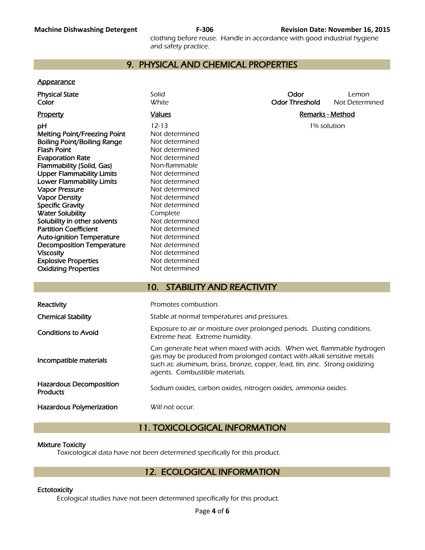clothing before reuse. Handle in accordance with good industrial hygiene and safety practice.

# 9. PHYSICAL AND CHEMICAL PROPERTIES

#### **Appearance**

| <b>Physical State</b><br>Color                                                                                                                                                                                                                                                                                                                                                                                                                                                                    | Solid<br><b>White</b>                                                                                                                                                                                                                                                                              | Odor<br><b>Odor Threshold</b> | Lemon<br>Not Determined |  |  |
|---------------------------------------------------------------------------------------------------------------------------------------------------------------------------------------------------------------------------------------------------------------------------------------------------------------------------------------------------------------------------------------------------------------------------------------------------------------------------------------------------|----------------------------------------------------------------------------------------------------------------------------------------------------------------------------------------------------------------------------------------------------------------------------------------------------|-------------------------------|-------------------------|--|--|
| <b>Property</b>                                                                                                                                                                                                                                                                                                                                                                                                                                                                                   | <b>Values</b>                                                                                                                                                                                                                                                                                      | <b>Remarks - Method</b>       |                         |  |  |
| pH<br>Melting Point/Freezing Point<br><b>Boiling Point/Boiling Range</b><br><b>Flash Point</b><br><b>Evaporation Rate</b><br>Flammability (Solid, Gas)<br><b>Upper Flammability Limits</b><br><b>Lower Flammability Limits</b><br><b>Vapor Pressure</b><br><b>Vapor Density</b><br><b>Specific Gravity</b><br><b>Water Solubility</b><br>Solubility in other solvents<br><b>Partition Coefficient</b><br><b>Auto-ignition Temperature</b><br><b>Decomposition Temperature</b><br><b>Viscosity</b> | $12 - 13$<br>Not determined<br>Not determined<br>Not determined<br>Not determined<br>Non-flammable<br>Not determined<br>Not determined<br>Not determined<br>Not determined<br>Not determined<br>Complete<br>Not determined<br>Not determined<br>Not determined<br>Not determined<br>Not determined | 1% solution                   |                         |  |  |
| <b>Explosive Properties</b>                                                                                                                                                                                                                                                                                                                                                                                                                                                                       | Not determined                                                                                                                                                                                                                                                                                     |                               |                         |  |  |
| <b>Oxidizing Properties</b>                                                                                                                                                                                                                                                                                                                                                                                                                                                                       | Not determined                                                                                                                                                                                                                                                                                     |                               |                         |  |  |
|                                                                                                                                                                                                                                                                                                                                                                                                                                                                                                   | <b>STABILITY AND REACTIVITY</b><br>10 <sub>1</sub>                                                                                                                                                                                                                                                 |                               |                         |  |  |
| Reactivity                                                                                                                                                                                                                                                                                                                                                                                                                                                                                        | Promotes combustion.                                                                                                                                                                                                                                                                               |                               |                         |  |  |
| <b>Chemical Stability</b>                                                                                                                                                                                                                                                                                                                                                                                                                                                                         | Stable at normal temperatures and pressures.                                                                                                                                                                                                                                                       |                               |                         |  |  |
| <b>Conditions to Avoid</b>                                                                                                                                                                                                                                                                                                                                                                                                                                                                        | Exposure to air or moisture over prolonged periods. Dusting conditions.<br>Extreme heat. Extreme humidity.                                                                                                                                                                                         |                               |                         |  |  |
|                                                                                                                                                                                                                                                                                                                                                                                                                                                                                                   | Can generate heat when mixed with acids. When wet, flammable hydrogen                                                                                                                                                                                                                              |                               |                         |  |  |

Incompatible materials

Hazardous Decomposition **Products Decomposition**<br>Products **Sodium** oxides, carbon oxides, nitrogen oxides, ammonia oxides.

Hazardous Polymerization Will not occur.

# 11. TOXICOLOGICAL INFORMATION

agents. Combustible materials.

gas may be produced from prolonged contact with alkali sensitive metals such as: aluminum, brass, bronze, copper, lead, tin, zinc. Strong oxidizing

# Mixture Toxicity

Toxicological data have not been determined specifically for this product.

# 12. ECOLOGICAL INFORMATION

# **Ectotoxicity**

Ecological studies have not been determined specifically for this product.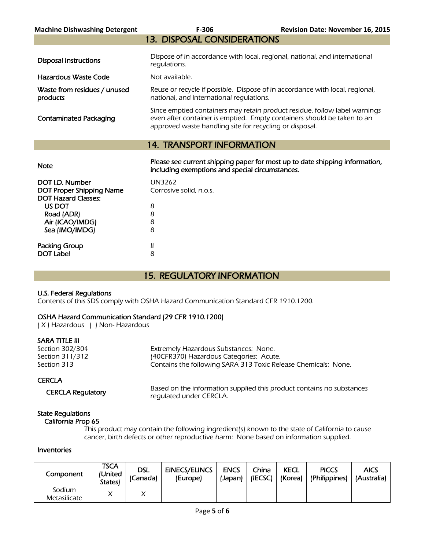| <b>Machine Dishwashing Detergent</b>     | F-306                                                                                                                                                                                                            | <b>Revision Date: November 16, 2015</b> |  |  |  |
|------------------------------------------|------------------------------------------------------------------------------------------------------------------------------------------------------------------------------------------------------------------|-----------------------------------------|--|--|--|
|                                          | <b>13. DISPOSAL CONSIDERATIONS</b>                                                                                                                                                                               |                                         |  |  |  |
| <b>Disposal Instructions</b>             | Dispose of in accordance with local, regional, national, and international<br>regulations.                                                                                                                       |                                         |  |  |  |
| Hazardous Waste Code                     | Not available.                                                                                                                                                                                                   |                                         |  |  |  |
| Waste from residues / unused<br>products | Reuse or recycle if possible. Dispose of in accordance with local, regional,<br>national, and international requlations.                                                                                         |                                         |  |  |  |
| <b>Contaminated Packaging</b>            | Since emptied containers may retain product residue, follow label warnings<br>even after container is emptied. Empty containers should be taken to an<br>approved waste handling site for recycling or disposal. |                                         |  |  |  |
| <b>14. TRANSPORT INFORMATION</b>         |                                                                                                                                                                                                                  |                                         |  |  |  |
| <b>Note</b>                              | Please see current shipping paper for most up to date shipping information,<br>including exemptions and special circumstances.                                                                                   |                                         |  |  |  |
| DOT I.D. Number                          | <b>UN3262</b>                                                                                                                                                                                                    |                                         |  |  |  |

| DUT I.D. NUMBER                 | <b>UINSZ0Z</b>          |
|---------------------------------|-------------------------|
| <b>DOT Proper Shipping Name</b> | Corrosive solid, n.o.s. |
| <b>DOT Hazard Classes:</b>      |                         |
| US DOT                          | 8                       |
| Road (ADR)                      | 8                       |
| Air (ICAO/IMDG)                 | 8                       |
| Sea (IMO/IMDG)                  | 8                       |
|                                 |                         |
| <b>Packing Group</b>            | Ш                       |
| <b>DOT Label</b>                | 8                       |
|                                 |                         |

# 15. REGULATORY INFORMATION

# U.S. Federal Regulations

Contents of this SDS comply with OSHA Hazard Communication Standard CFR 1910.1200.

# OSHA Hazard Communication Standard (29 CFR 1910.1200)

( X ) Hazardous ( ) Non- Hazardous

# SARA TITLE III

| Section 302/304 | Extremely Hazardous Substances: None.                          |
|-----------------|----------------------------------------------------------------|
| Section 311/312 | (40CFR370) Hazardous Categories: Acute.                        |
| Section 313     | Contains the following SARA 313 Toxic Release Chemicals: None. |
|                 |                                                                |

# **CERCLA**

CERCLA Regulatory Based on the information supplied this product contains no substances regulated under CERCLA.

#### State Regulations California Prop 65

 This product may contain the following ingredient(s) known to the state of California to cause cancer, birth defects or other reproductive harm: None based on information supplied.

# Inventories

| Component              | TSCA<br>(United<br>States) | <b>DSL</b><br>(Canada) | <b>EINECS/ELINCS</b><br>(Europe) | <b>ENCS</b><br>(Japan) | China<br>(IECSC) | <b>KECL</b><br>(Korea) | <b>PICCS</b><br>(Philippines) | <b>AICS</b><br>(Australia) |
|------------------------|----------------------------|------------------------|----------------------------------|------------------------|------------------|------------------------|-------------------------------|----------------------------|
| Sodium<br>Metasilicate |                            |                        |                                  |                        |                  |                        |                               |                            |